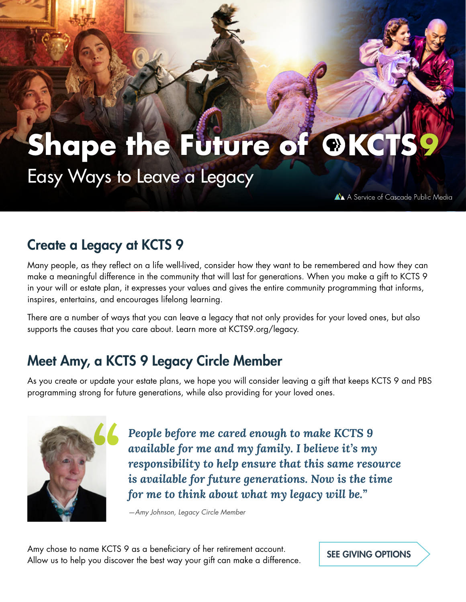# **Shape the Future of OKCTS** Easy Ways to Leave a Legacy

A A Service of Cascade Public Media

## Create a Legacy at KCTS 9

Many people, as they reflect on a life well-lived, consider how they want to be remembered and how they can make a meaningful difference in the community that will last for generations. When you make a gift to KCTS 9 in your will or estate plan, it expresses your values and gives the entire community programming that informs, inspires, entertains, and encourages lifelong learning.

There are a number of ways that you can leave a legacy that not only provides for your loved ones, but also supports the causes that you care about. Learn more at KCTS9.org/legacy.

## Meet Amy, a KCTS 9 Legacy Circle Member

As you create or update your estate plans, we hope you will consider leaving a gift that keeps KCTS 9 and PBS programming strong for future generations, while also providing for your loved ones.



*People before me cared enough to make KCTS 9 available for me and my family. I believe it's my responsibility to help ensure that this same resource is available for future generations. Now is the time for me to think about what my legacy will be."*

*—Amy Johnson, Legacy Circle Member*

Amy chose to name KCTS 9 as a beneficiary of her retirement account. Allow us to help you discover the best way your gift can make a difference. SEE GIVING OPTIONS